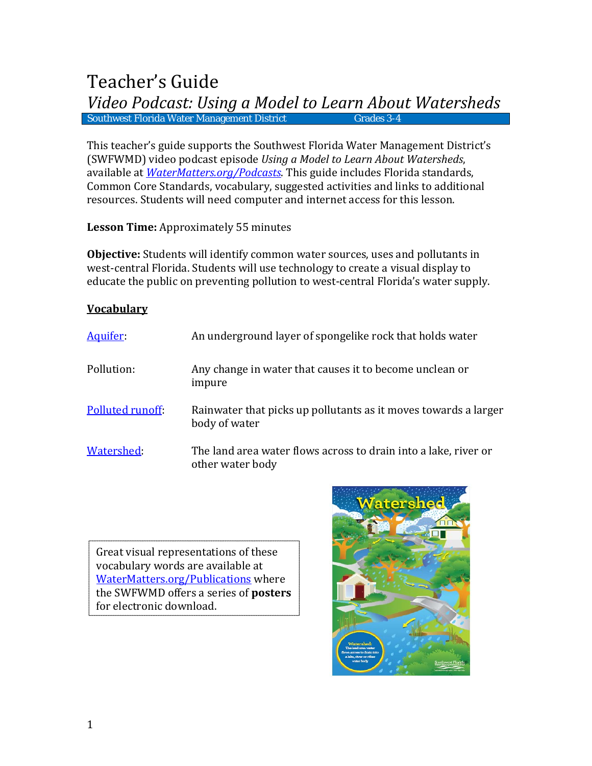# Teacher's Guide *Video Podcast: Using a Model to Learn About Watersheds* Southwest Florida Water Management District

This teacher's guide supports the Southwest Florida Water Management District's (SWFWMD) video podcast episode *Using a Model to Learn About Watersheds*, available at *[WaterMatters.org/Podcasts](http://www.watermatters.org/Podcasts)*. This guide includes Florida standards, Common Core Standards, vocabulary, suggested activities and links to additional resources. Students will need computer and internet access for this lesson.

**Lesson Time:** Approximately 55 minutes

**Objective:** Students will identify common water sources, uses and pollutants in west-central Florida. Students will use technology to create a visual display to educate the public on preventing pollution to west-central Florida's water supply.

# **Vocabulary**

| Aquifer:         | An underground layer of spongelike rock that holds water                            |
|------------------|-------------------------------------------------------------------------------------|
| Pollution:       | Any change in water that causes it to become unclean or<br>impure                   |
| Polluted runoff: | Rainwater that picks up pollutants as it moves towards a larger<br>body of water    |
| Watershed:       | The land area water flows across to drain into a lake, river or<br>other water body |

Great visual representations of these vocabulary words are available at [WaterMatters.org/Publications](http://www.swfwmd.state.fl.us/publications/type/all) where the SWFWMD offers a series of **posters** for electronic download.

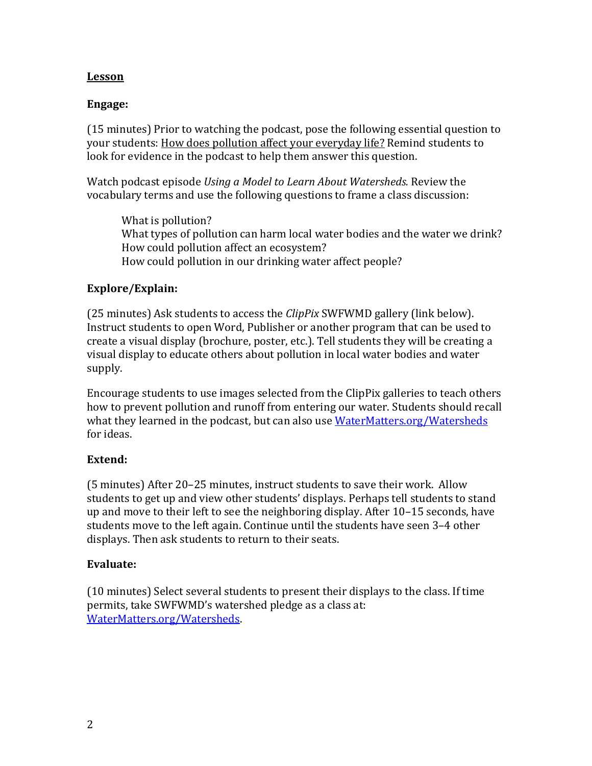# **Lesson**

# **Engage:**

(15 minutes) Prior to watching the podcast, pose the following essential question to your students: How does pollution affect your everyday life? Remind students to look for evidence in the podcast to help them answer this question.

Watch podcast episode *Using a Model to Learn About Watersheds.* Review the vocabulary terms and use the following questions to frame a class discussion:

What is pollution? What types of pollution can harm local water bodies and the water we drink? How could pollution affect an ecosystem? How could pollution in our drinking water affect people?

## **Explore/Explain:**

(25 minutes) Ask students to access the *ClipPix* SWFWMD gallery (link below). Instruct students to open Word, Publisher or another program that can be used to create a visual display (brochure, poster, etc.). Tell students they will be creating a visual display to educate others about pollution in local water bodies and water supply.

Encourage students to use images selected from the ClipPix galleries to teach others how to prevent pollution and runoff from entering our water. Students should recall what they learned in the podcast, but can also use [WaterMatters.org/Watersheds](http://www.watermatters.org/Watersheds) for ideas.

## **Extend:**

(5 minutes) After 20–25 minutes, instruct students to save their work. Allow students to get up and view other students' displays. Perhaps tell students to stand up and move to their left to see the neighboring display. After 10–15 seconds, have students move to the left again. Continue until the students have seen 3–4 other displays. Then ask students to return to their seats.

## **Evaluate:**

(10 minutes) Select several students to present their displays to the class. If time permits, take SWFWMD's watershed pledge as a class at: [WaterMatters.org/Watersheds.](http://www.watermatters.org/Watersheds)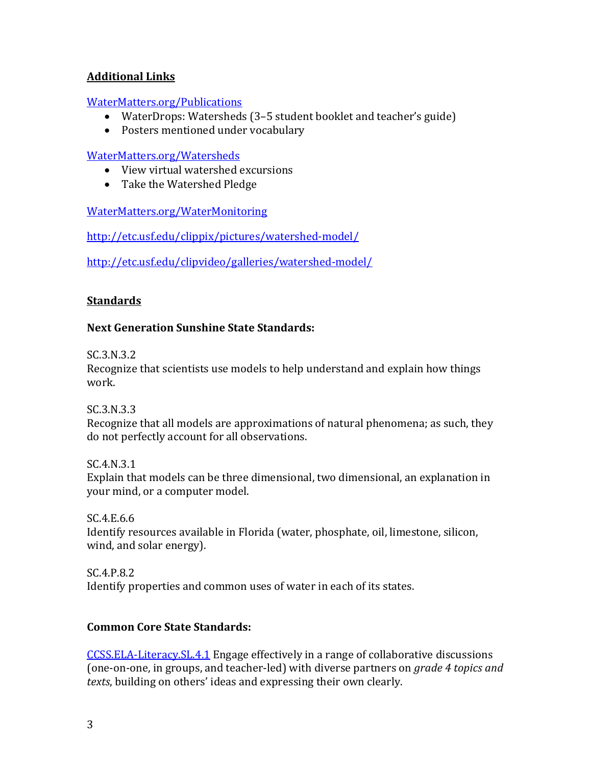# **Additional Links**

#### [WaterMatters.org/Publications](http://www.watermatters.org/publications)

- WaterDrops: Watersheds (3–5 student booklet and teacher's guide)
- Posters mentioned under vocabulary

## [WaterMatters.org/Watersheds](http://www.watermatters.org/Watersheds)

- View virtual watershed excursions
- Take the Watershed Pledge

# [WaterMatters.org/WaterMonitoring](http://www.watermatters.org/WaterMonitoring)

<http://etc.usf.edu/clippix/pictures/watershed-model/>

<http://etc.usf.edu/clipvideo/galleries/watershed-model/>

# **Standards**

# **Next Generation Sunshine State Standards:**

SC.3.N.3.2

Recognize that scientists use models to help understand and explain how things work.

SC.3.N.3.3

Recognize that all models are approximations of natural phenomena; as such, they do not perfectly account for all observations.

SC.4.N.3.1 Explain that models can be three dimensional, two dimensional, an explanation in your mind, or a computer model.

SC.4.E.6.6 Identify resources available in Florida (water, phosphate, oil, limestone, silicon, wind, and solar energy).

SC.4.P.8.2 Identify properties and common uses of water in each of its states.

## **Common Core State Standards:**

[CCSS.ELA-Literacy.SL.4.1](http://www.corestandards.org/ELA-Literacy/SL/4/1/) Engage effectively in a range of collaborative discussions (one-on-one, in groups, and teacher-led) with diverse partners on *grade 4 topics and texts*, building on others' ideas and expressing their own clearly.